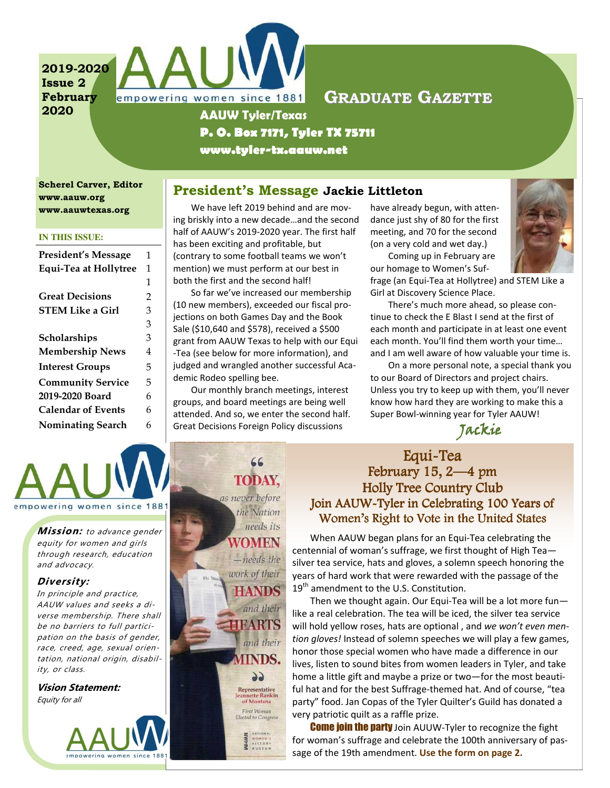2019-2020 Issue 2 February 2020



## GRADUATE GAZETTE

# P. O. Box 7171, Tyler TX 75711

www.tyler-tx.aauw.net

Scherel Carver, Editor www.aauw.org www.aauwtexas.org

#### **IN THIS ISSUE:**

| <b>President's Message</b> | 1 |
|----------------------------|---|
| Equi-Tea at Hollytree      | 1 |
|                            | 1 |
| <b>Great Decisions</b>     | 2 |
| <b>STEM Like a Girl</b>    | 3 |
|                            | 3 |
| Scholarships               | 3 |
| <b>Membership News</b>     | 4 |
| <b>Interest Groups</b>     | 5 |
| <b>Community Service</b>   | 5 |
| 2019-2020 Board            | 6 |
| <b>Calendar of Events</b>  | 6 |
| <b>Nominating Search</b>   | 6 |

President's Message Jackie Littleton

We have left 2019 behind and are moving briskly into a new decade…and the second half of AAUW's 2019-2020 year. The first half has been exciting and profitable, but (contrary to some football teams we won't mention) we must perform at our best in both the first and the second half!

So far we've increased our membership (10 new members), exceeded our fiscal projections on both Games Day and the Book Sale (\$10,640 and \$578), received a \$500 grant from AAUW Texas to help with our Equi -Tea (see below for more information), and judged and wrangled another successful Academic Rodeo spelling bee.

Our monthly branch meetings, interest groups, and board meetings are being well attended. And so, we enter the second half. Great Decisions Foreign Policy discussions

have already begun, with attendance just shy of 80 for the first meeting, and 70 for the second (on a very cold and wet day.)

Coming up in February are our homage to Women's Suf-



frage (an Equi-Tea at Hollytree) and STEM Like a Girl at Discovery Science Place.

There's much more ahead, so please continue to check the E Blast I send at the first of each month and participate in at least one event each month. You'll find them worth your time… and I am well aware of how valuable your time is.

On a more personal note, a special thank you to our Board of Directors and project chairs. Unless you try to keep up with them, you'll never know how hard they are working to make this a Super Bowl-winning year for Tyler AAUW!

Jackie

empowering women since 1881

**Mission:** to advance gender equity for women and girls through research, education and advocacy.

#### Diversity:

In principle and practice, AAUW values and seeks a diverse membership. There shall be no barriers to full participation on the basis of gender, race, creed, age, sexual orientation, national origin, disability, or class.

Vision Statement: Equity for all



## 66 **TODAY.** as never before the Nation needs its WOMEN  $-*needs*$  the work of their **HANDS** and their **HEARTS** and their **IINDS.** 99 Representative Jeannette Rankin<br>of Montana First Woman<br>Elected to Congress

## Equi-Tea February  $15, 2-4$  pm Holly Tree Country Club Join AAUW-Tyler in Celebrating 100 Years of Women's Right to Vote in the United States

When AAUW began plans for an Equi-Tea celebrating the centennial of woman's suffrage, we first thought of High Tea silver tea service, hats and gloves, a solemn speech honoring the years of hard work that were rewarded with the passage of the  $19<sup>th</sup>$  amendment to the U.S. Constitution.

Then we thought again. Our Equi-Tea will be a lot more fun like a real celebration. The tea will be iced, the silver tea service will hold yellow roses, hats are optional, and we won't even mention gloves! Instead of solemn speeches we will play a few games, honor those special women who have made a difference in our lives, listen to sound bites from women leaders in Tyler, and take home a little gift and maybe a prize or two—for the most beautiful hat and for the best Suffrage-themed hat. And of course, "tea party" food. Jan Copas of the Tyler Quilter's Guild has donated a very patriotic quilt as a raffle prize.

**Come join the party** Join AUUW-Tyler to recognize the fight for woman's suffrage and celebrate the 100th anniversary of passage of the 19th amendment. Use the form on page 2.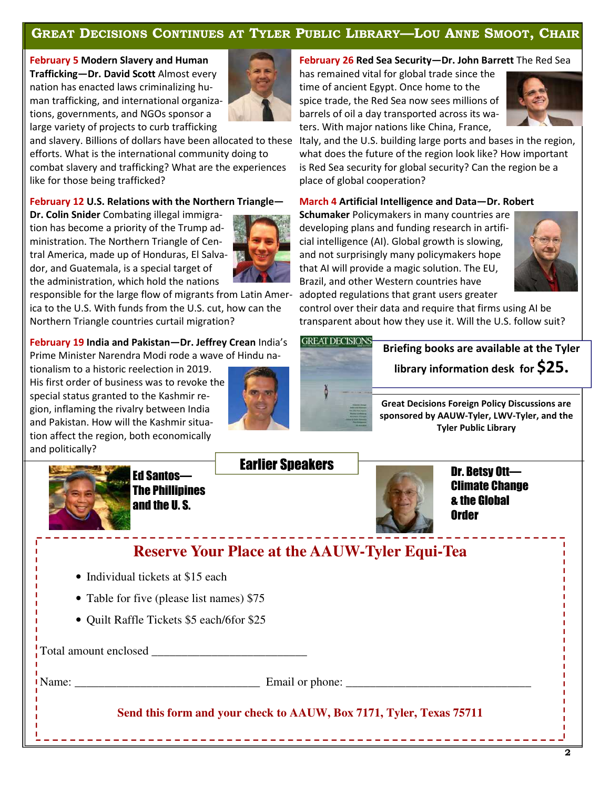### GREAT DECISIONS CONTINUES AT TYLER PUBLIC LIBRARY—LOU ANNE SMOOT, CHAIR

#### February 5 Modern Slavery and Human Trafficking—Dr. David Scott Almost every nation has enacted laws criminalizing hu-

man trafficking, and international organizations, governments, and NGOs sponsor a large variety of projects to curb trafficking



efforts. What is the international community doing to combat slavery and trafficking? What are the experiences like for those being trafficked?

#### February 12 U.S. Relations with the Northern Triangle—

Dr. Colin Snider Combating illegal immigration has become a priority of the Trump administration. The Northern Triangle of Central America, made up of Honduras, El Salvador, and Guatemala, is a special target of the administration, which hold the nations

responsible for the large flow of migrants from Latin America to the U.S. With funds from the U.S. cut, how can the Northern Triangle countries curtail migration?

### February 19 India and Pakistan-Dr. Jeffrey Crean India's

Prime Minister Narendra Modi rode a wave of Hindu na-

tionalism to a historic reelection in 2019. His first order of business was to revoke the special status granted to the Kashmir region, inflaming the rivalry between India and Pakistan. How will the Kashmir situation affect the region, both economically and politically?



#### February 26 Red Sea Security-Dr. John Barrett The Red Sea

has remained vital for global trade since the time of ancient Egypt. Once home to the spice trade, the Red Sea now sees millions of barrels of oil a day transported across its waters. With major nations like China, France,



and slavery. Billions of dollars have been allocated to these Italy, and the U.S. building large ports and bases in the region, what does the future of the region look like? How important is Red Sea security for global security? Can the region be a place of global cooperation?

#### March 4 Artificial Intelligence and Data—Dr. Robert

Schumaker Policymakers in many countries are developing plans and funding research in artificial intelligence (AI). Global growth is slowing, and not surprisingly many policymakers hope that AI will provide a magic solution. The EU, Brazil, and other Western countries have adopted regulations that grant users greater



control over their data and require that firms using AI be transparent about how they use it. Will the U.S. follow suit?



Briefing books are available at the Tyler library information desk for \$25.

Great Decisions Foreign Policy Discussions are sponsored by AAUW-Tyler, LWV-Tyler, and the Tyler Public Library



Ed Santos— The Phillipines and the U. S.

## Earlier Speakers



Dr. Betsy Ott— Climate Change & the Global **Order** 

- Individual tickets at \$15 each
- Table for five (please list names) \$75
- Quilt Raffle Tickets \$5 each/6for \$25

Total amount enclosed \_\_\_\_\_\_\_\_\_\_\_\_\_\_\_\_\_\_\_\_\_\_\_\_\_\_

Name: \_\_\_\_\_\_\_\_\_\_\_\_\_\_\_\_\_\_\_\_\_\_\_\_\_\_\_\_\_\_\_ Email or phone: \_\_\_\_\_\_\_\_\_\_\_\_\_\_\_\_\_\_\_\_\_\_\_\_\_\_\_\_\_\_\_

**Send this form and your check to AAUW, Box 7171, Tyler, Texas 75711**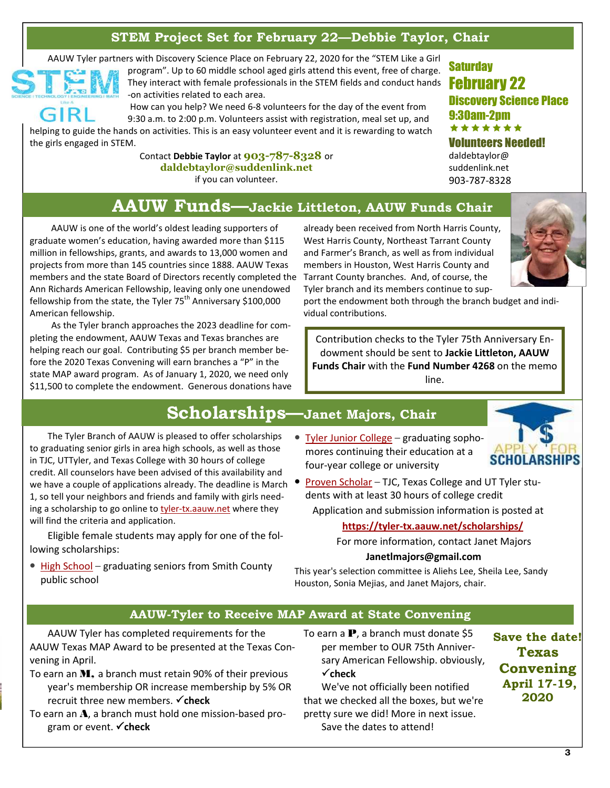## STEM Project Set for February 22—Debbie Taylor, Chair

AAUW Tyler partners with Discovery Science Place on February 22, 2020 for the "STEM Like a Girl



program". Up to 60 middle school aged girls attend this event, free of charge. They interact with female professionals in the STEM fields and conduct hands  $\begin{array}{|c|c|}\hline \textbf{F}\textbf{C}\textbf{D}\textbf{r}\textbf{U}\textbf{A}\textbf{r}\textbf{y} & \textbf{22}\hline \end{array}$ -on activities related to each area.

 How can you help? We need 6-8 volunteers for the day of the event from 9:30 a.m. to 2:00 p.m. Volunteers assist with registration, meal set up, and helping to guide the hands on activities. This is an easy volunteer event and it is rewarding to watch the girls engaged in STEM.

> Contact Debbie Taylor at 903-787-8328 or daldebtaylor@suddenlink.net if you can volunteer.

**Saturday** Discovery Science Place 9:30am-2pm \*\*\*\*\*\* Volunteers Needed!

daldebtaylor@ suddenlink.net 903-787-8328

# AAUW Funds—Jackie Littleton, AAUW Funds Chair

AAUW is one of the world's oldest leading supporters of graduate women's education, having awarded more than \$115 million in fellowships, grants, and awards to 13,000 women and projects from more than 145 countries since 1888. AAUW Texas members and the state Board of Directors recently completed the Tarrant County branches. And, of course, the Ann Richards American Fellowship, leaving only one unendowed fellowship from the state, the Tyler  $75<sup>th</sup>$  Anniversary \$100,000 American fellowship.

As the Tyler branch approaches the 2023 deadline for completing the endowment, AAUW Texas and Texas branches are helping reach our goal. Contributing \$5 per branch member before the 2020 Texas Convening will earn branches a "P" in the state MAP award program. As of January 1, 2020, we need only \$11,500 to complete the endowment. Generous donations have

already been received from North Harris County, West Harris County, Northeast Tarrant County and Farmer's Branch, as well as from individual members in Houston, West Harris County and Tyler branch and its members continue to sup-

port the endowment both through the branch budget and individual contributions.

Contribution checks to the Tyler 75th Anniversary Endowment should be sent to Jackie Littleton, AAUW Funds Chair with the Fund Number 4268 on the memo line.

# Scholarships—Janet Majors, Chair

The Tyler Branch of AAUW is pleased to offer scholarships to graduating senior girls in area high schools, as well as those in TJC, UTTyler, and Texas College with 30 hours of college credit. All counselors have been advised of this availability and credit: All counselors have been advised of this availability and<br>we have a couple of applications already. The deadline is March • Proven Scholar – TJC, Texas College and UT Tyler stu-1, so tell your neighbors and friends and family with girls needing a scholarship to go online to tyler-tx.aauw.net where they will find the criteria and application. • Tyler Junior College – graduating sopho-

Eligible female students may apply for one of the following scholarships:

• High School – graduating seniors from Smith County

public school

mores continuing their education at a four-year college or university



dents with at least 30 hours of college credit

Application and submission information is posted at

https://tyler-tx.aauw.net/scholarships/

For more information, contact Janet Majors

#### Janetlmajors@gmail.com

This year's selection committee is Aliehs Lee, Sheila Lee, Sandy Houston, Sonia Mejias, and Janet Majors, chair.

#### AAUW-Tyler to Receive MAP Award at State Convening

AAUW Tyler has completed requirements for the AAUW Texas MAP Award to be presented at the Texas Convening in April.

- To earn an M, a branch must retain 90% of their previous year's membership OR increase membership by 5% OR recruit three new members.  $\checkmark$  check
- To earn an A, a branch must hold one mission-based program or event.  $\checkmark$  check
- To earn a  $\mathbf{P}$ , a branch must donate \$5 per member to OUR 75th Anniversary American Fellowship. obviously,  $\checkmark$ check

We've not officially been notified that we checked all the boxes, but we're pretty sure we did! More in next issue. Save the dates to attend!

Save the date! Texas Convening April 17-19, 2020

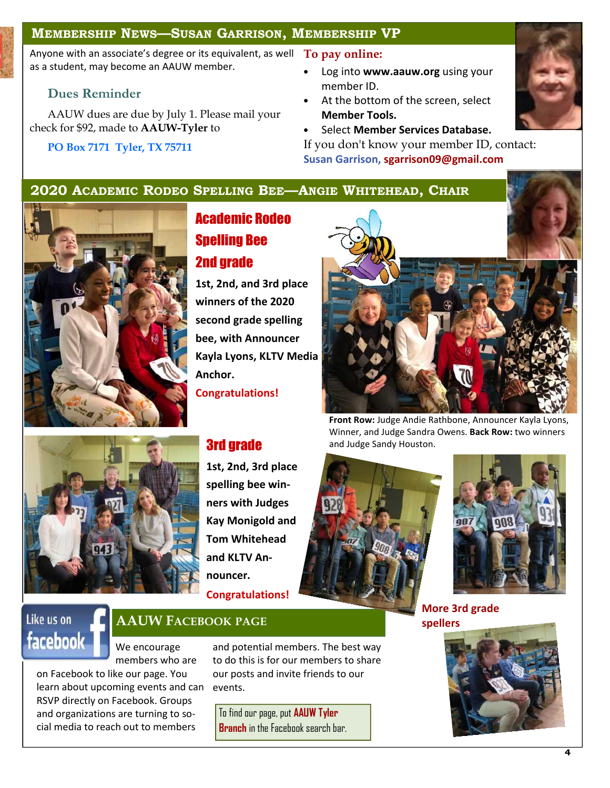#### MEMBERSHIP NEWS—SUSAN GARRISON, MEMBERSHIP VP

Anyone with an associate's degree or its equivalent, as well  $\|\text{To pay online:}\|$ as a student, may become an AAUW member.

#### Dues Reminder

AAUW dues are due by July 1. Please mail your check for \$92, made to AAUW-Tyler to

#### PO Box 7171 Tyler, TX 75711

- Log into www.aauw.org using your member ID.
- At the bottom of the screen, select Member Tools.
- Select Member Services Database.

If you don't know your member ID, contact: Susan Garrison, sgarrison09@gmail.com

## 2020 ACADEMIC RODEO SPELLING BEE—ANGIE WHITEHEAD, CHAIR



# Academic Rodeo Spelling Bee 2nd grade

1st, 2nd, and 3rd place winners of the 2020 second grade spelling bee, with Announcer Kayla Lyons, KLTV Media Anchor.

Congratulations!

1st, 2nd, 3rd place spelling bee winners with Judges Kay Monigold and Tom Whitehead and KLTV Announcer. Congratulations!

Front Row: Judge Andie Rathbone, Announcer Kayla Lyons, Winner, and Judge Sandra Owens. Back Row: two winners **3rd grade** and Judge Sandy Houston.





More 3rd grade spellers



# Like us on facebook

## AAUW FACEBOOK PAGE

We encourage members who are on Facebook to like our page. You

learn about upcoming events and can RSVP directly on Facebook. Groups and organizations are turning to social media to reach out to members

and potential members. The best way to do this is for our members to share our posts and invite friends to our events.

To find our page, put AAUW Tyler **Branch** in the Facebook search bar.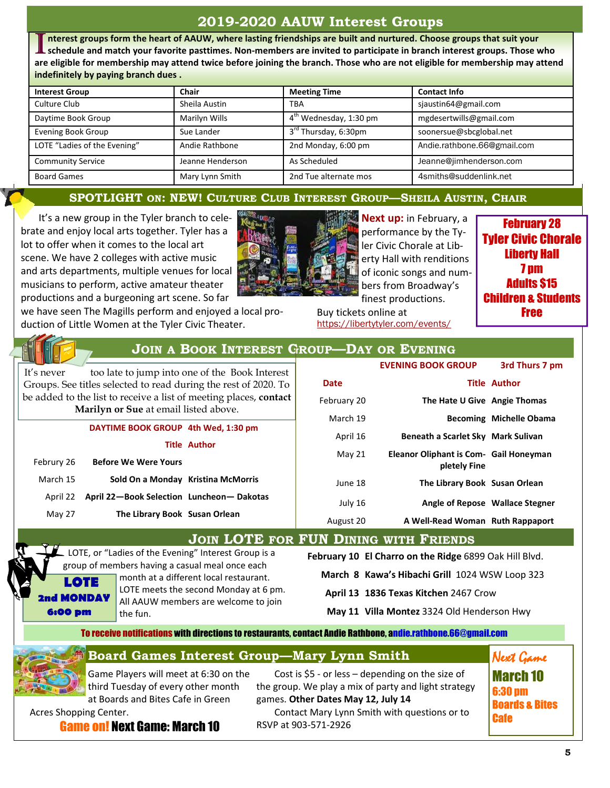## 2019-2020 AAUW Interest Groups

 $\overline{\prod}$ nterest groups form the heart of AAUW, where lasting friendships are built and nurtured. Choose groups that suit your schedule and match your favorite pasttimes. Non-members are invited to participate in branch interest groups. Those who are eligible for membership may attend twice before joining the branch. Those who are not eligible for membership may attend indefinitely by paying branch dues .

| <b>Interest Group</b>        | Chair            | <b>Meeting Time</b>                | <b>Contact Info</b>         |
|------------------------------|------------------|------------------------------------|-----------------------------|
| Culture Club                 | Sheila Austin    | <b>TBA</b>                         | sjaustin64@gmail.com        |
| Daytime Book Group           | Marilyn Wills    | 4 <sup>th</sup> Wednesday, 1:30 pm | mgdesertwills@gmail.com     |
| <b>Evening Book Group</b>    | Sue Lander       | 3 <sup>rd</sup> Thursday, 6:30pm   | soonersue@sbcglobal.net     |
| LOTE "Ladies of the Evening" | Andie Rathbone   | 2nd Monday, 6:00 pm                | Andie.rathbone.66@gmail.com |
| <b>Community Service</b>     | Jeanne Henderson | As Scheduled                       | Jeanne@jimhenderson.com     |
| <b>Board Games</b>           | Mary Lynn Smith  | 2nd Tue alternate mos              | 4smiths@suddenlink.net      |

#### SPOTLIGHT ON: NEW! CULTURE CLUB INTEREST GROUP—SHEILA AUSTIN, CHAIR

It's a new group in the Tyler branch to celebrate and enjoy local arts together. Tyler has a lot to offer when it comes to the local art scene. We have 2 colleges with active music and arts departments, multiple venues for local musicians to perform, active amateur theater productions and a burgeoning art scene. So far



Next up: in February, a performance by the Tyler Civic Chorale at Liberty Hall with renditions of iconic songs and numbers from Broadway's finest productions.

Buy tickets online at https://libertytyler.com/events/

February 28 Tyler Civic Chorale Liberty Hall 7 pm Adults \$15 Children & Students Free

we have seen The Magills perform and enjoyed a local production of Little Women at the Tyler Civic Theater.

JOIN A BOOK INTEREST GROUP—DAY OR EVENING

It's never too late to jump into one of the Book Interest Groups. See titles selected to read during the rest of 2020. To be added to the list to receive a list of meeting places, **contact** Marilyn or Sue at email listed above.

| DAYTIME BOOK GROUP 4th Wed, 1:30 pm |
|-------------------------------------|
|-------------------------------------|

| Author |
|--------|
|        |

| <b>Before We Were Yours</b>                       | Februry 26 |
|---------------------------------------------------|------------|
| Sold On a Monday Kristina McMorris                | March 15   |
| April 22 April 22-Book Selection Luncheon-Dakotas |            |
| The Library Book Susan Orlean                     | May 27     |

|             | <b>EVENING BOOK GROUP</b>                              | 3rd Thurs 7 pm                  |
|-------------|--------------------------------------------------------|---------------------------------|
| Date        |                                                        | <b>Title Author</b>             |
| February 20 | The Hate U Give Angie Thomas                           |                                 |
| March 19    |                                                        | <b>Becoming Michelle Obama</b>  |
| April 16    | Beneath a Scarlet Sky Mark Sulivan                     |                                 |
| May 21      | Eleanor Oliphant is Com- Gail Honeyman<br>pletely Fine |                                 |
| June 18     | The Library Book Susan Orlean                          |                                 |
| July 16     |                                                        | Angle of Repose Wallace Stegner |
| August 20   | A Well-Read Woman Ruth Rappaport                       |                                 |

JOIN LOTE FOR FUN DINING WITH FRIENDS

LOTE, or "Ladies of the Evening" Interest Group is a group of members having a casual meal once each month at a different local restaurant. LOTE meets the second Monday at 6 pm. LOTE 2nd MONDAY

All AAUW members are welcome to join the fun.

February 10 El Charro on the Ridge 6899 Oak Hill Blvd.

March 8 Kawa's Hibachi Grill 1024 WSW Loop 323

April 13 1836 Texas Kitchen 2467 Crow

May 11 Villa Montez 3324 Old Henderson Hwy

To receive notifications with directions to restaurants, contact Andie Rathbone, andie.rathbone.66@gmail.com

## Board Games Interest Group—Mary Lynn Smith

Game Players will meet at 6:30 on the third Tuesday of every other month

6:00 pm

at Boards and Bites Cafe in Green Acres Shopping Center.

Cost is \$5 - or less – depending on the size of the group. We play a mix of party and light strategy games. Other Dates May 12, July 14 Contact Mary Lynn Smith with questions or to RSVP at 903-571-2926

March 10 6:30 pm Boards & Bites **Cafe** 

Next Game

Game on! Next Game: March 10